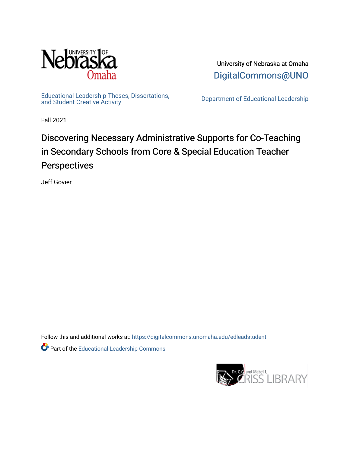

University of Nebraska at Omaha [DigitalCommons@UNO](https://digitalcommons.unomaha.edu/) 

[Educational Leadership Theses, Dissertations,](https://digitalcommons.unomaha.edu/edleadstudent)

Department of Educational Leadership

Fall 2021

# Discovering Necessary Administrative Supports for Co-Teaching in Secondary Schools from Core & Special Education Teacher Perspectives

Jeff Govier

Follow this and additional works at: [https://digitalcommons.unomaha.edu/edleadstudent](https://digitalcommons.unomaha.edu/edleadstudent?utm_source=digitalcommons.unomaha.edu%2Fedleadstudent%2F22&utm_medium=PDF&utm_campaign=PDFCoverPages)

Part of the [Educational Leadership Commons](http://network.bepress.com/hgg/discipline/1230?utm_source=digitalcommons.unomaha.edu%2Fedleadstudent%2F22&utm_medium=PDF&utm_campaign=PDFCoverPages) 

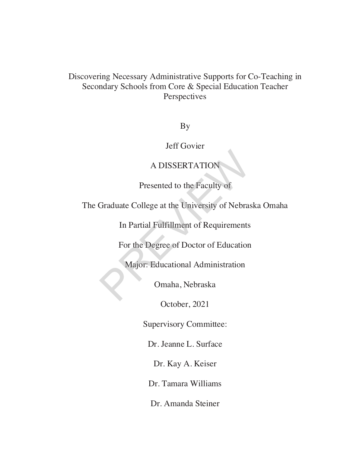## Discovering Necessary Administrative Supports for Co-Teaching in Secondary Schools from Core & Special Education Teacher Perspectives

By

Jeff Govier

## A DISSERTATION

Presented to the Faculty of

The Graduate College at the University of Nebraska Omaha A DISSERTATION<br>Presented to the Faculty of<br>Graduate College at the University of Nebras<br>In Partial Fulfillment of Requirements<br>For the Degree of Doctor of Education<br>Major: Educational Administration<br>Omaha, Nebraska

In Partial Fulfillment of Requirements

For the Degree of Doctor of Education

Major: Educational Administration

Omaha, Nebraska

October, 2021

Supervisory Committee:

Dr. Jeanne L. Surface

Dr. Kay A. Keiser

Dr. Tamara Williams

Dr. Amanda Steiner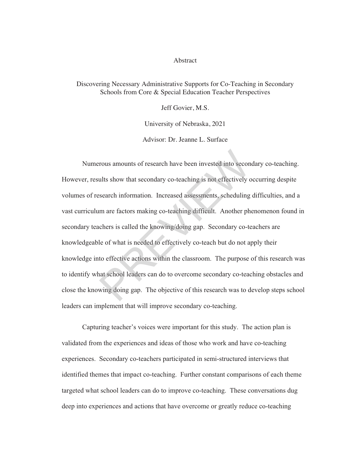#### Abstract

#### Discovering Necessary Administrative Supports for Co-Teaching in Secondary Schools from Core & Special Education Teacher Perspectives

Jeff Govier, M.S.

University of Nebraska, 2021

Advisor: Dr. Jeanne L. Surface

Numerous amounts of research have been invested into secondary co-teaching. However, results show that secondary co-teaching is not effectively occurring despite volumes of research information. Increased assessments, scheduling difficulties, and a vast curriculum are factors making co-teaching difficult. Another phenomenon found in secondary teachers is called the knowing/doing gap. Secondary co-teachers are knowledgeable of what is needed to effectively co-teach but do not apply their knowledge into effective actions within the classroom. The purpose of this research was to identify what school leaders can do to overcome secondary co-teaching obstacles and close the knowing doing gap. The objective of this research was to develop steps school leaders can implement that will improve secondary co-teaching. rous amounts of research have been invested into secont<br>ults show that secondary co-teaching is not effectively c<br>search information. Increased assessments, scheduling<br>um are factors making co-teaching difficult. Another p

Capturing teacher's voices were important for this study. The action plan is validated from the experiences and ideas of those who work and have co-teaching experiences. Secondary co-teachers participated in semi-structured interviews that identified themes that impact co-teaching. Further constant comparisons of each theme targeted what school leaders can do to improve co-teaching. These conversations dug deen into experiences and actions that have overcome or greatly reduce co-teaching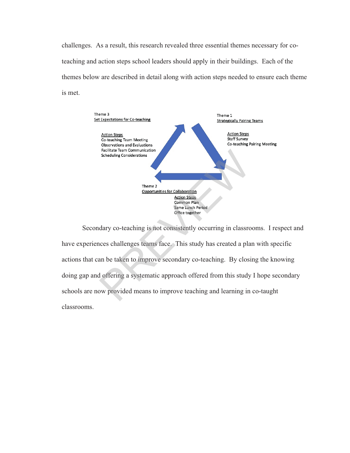challenges. As a result, this research revealed three essential themes necessary for coteaching and action steps school leaders should apply in their buildings. Each of the themes below are described in detail along with action steps needed to ensure each theme is met.



Secondary co-teaching is not consistently occurring in classrooms. I respect and have experiences challenges teams face. This study has created a plan with specific actions that can be taken to improve secondary co-teaching. By closing the knowing doing gap and offering a systematic approach offered from this study I hope secondary schools are now provided means to improve teaching and learning in co-taught classrooms.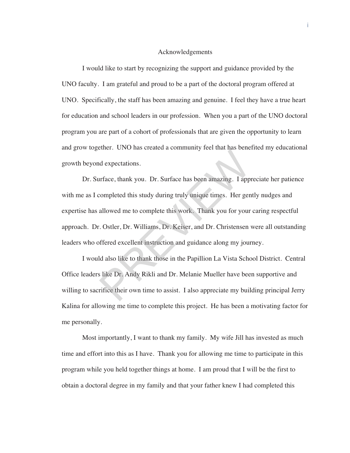#### Acknowledgements

I would like to start by recognizing the support and guidance provided by the UNO faculty. I am grateful and proud to be a part of the doctoral program offered at UNO. Specifically, the staff has been amazing and genuine. I feel they have a true heart for education and school leaders in our profession. When you a part of the UNO doctoral program you are part of a cohort of professionals that are given the opportunity to learn and grow together. UNO has created a community feel that has benefited my educational growth beyond expectations.

 Dr. Surface, thank you. Dr. Surface has been amazing. I appreciate her patience with me as I completed this study during truly unique times. Her gently nudges and expertise has allowed me to complete this work. Thank you for your caring respectful approach. Dr. Ostler, Dr. Williams, Dr. Keiser, and Dr. Christensen were all outstanding leaders who offered excellent instruction and guidance along my journey. and expectations.<br>Inface, thank you. Dr. Surface has been amazing. I apprompleted this study during truly unique times. Her gen<br>allowed me to complete this work. Thank you for your<br>Costler, Dr. Williams, Dr. Keiser, and Dr

 I would also like to thank those in the Papillion La Vista School District. Central Office leaders like Dr. Andy Rikli and Dr. Melanie Mueller have been supportive and willing to sacrifice their own time to assist. I also appreciate my building principal Jerry Kalina for allowing me time to complete this project. He has been a motivating factor for me personally.

 Most importantly, I want to thank my family. My wife Jill has invested as much time and effort into this as I have. Thank you for allowing me time to participate in this program while you held together things at home. I am proud that I will be the first to obtain a doctoral degree in my family and that your father knew I had completed this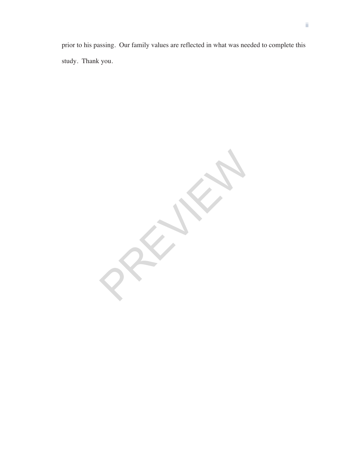prior to his passing. Our family values are reflected in what was needed to complete this study. Thank you.

PREVIEWS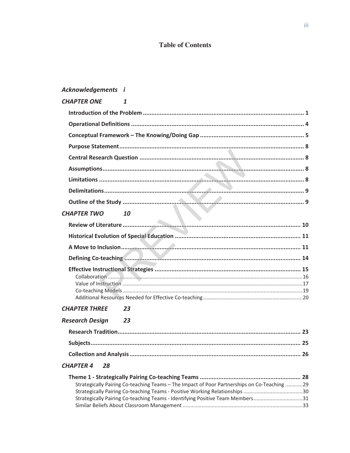### **Table of Contents**

### Acknowledgements i

| <b>CHAPTER ONE</b><br>1  |
|--------------------------|
|                          |
|                          |
|                          |
|                          |
|                          |
|                          |
|                          |
|                          |
|                          |
| <b>CHAPTER TWO</b><br>10 |
|                          |
|                          |
|                          |
|                          |
|                          |
|                          |
|                          |
|                          |
|                          |

#### **CHAPTER THREE** 23

| <b>Research Design</b> | 23 |
|------------------------|----|
|------------------------|----|

### CHAPTER 4 28

| Strategically Pairing Co-teaching Teams – The Impact of Poor Partnerships on Co-Teaching 29 |  |
|---------------------------------------------------------------------------------------------|--|
|                                                                                             |  |
| Strategically Pairing Co-teaching Teams - Identifying Positive Team Members31               |  |
|                                                                                             |  |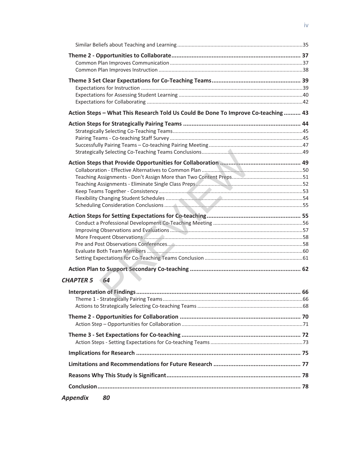| Action Steps - What This Research Told Us Could Be Done To Improve Co-teaching  43 |  |
|------------------------------------------------------------------------------------|--|
|                                                                                    |  |
|                                                                                    |  |
|                                                                                    |  |
|                                                                                    |  |
|                                                                                    |  |
|                                                                                    |  |
|                                                                                    |  |
|                                                                                    |  |
|                                                                                    |  |
|                                                                                    |  |
|                                                                                    |  |
|                                                                                    |  |
|                                                                                    |  |
|                                                                                    |  |
|                                                                                    |  |
|                                                                                    |  |
|                                                                                    |  |
|                                                                                    |  |
|                                                                                    |  |
| <b>CHAPTER 5 64</b>                                                                |  |
|                                                                                    |  |
|                                                                                    |  |
|                                                                                    |  |
|                                                                                    |  |
|                                                                                    |  |
|                                                                                    |  |
|                                                                                    |  |
|                                                                                    |  |
|                                                                                    |  |
|                                                                                    |  |
|                                                                                    |  |
| <b>Appendix</b><br>80                                                              |  |
|                                                                                    |  |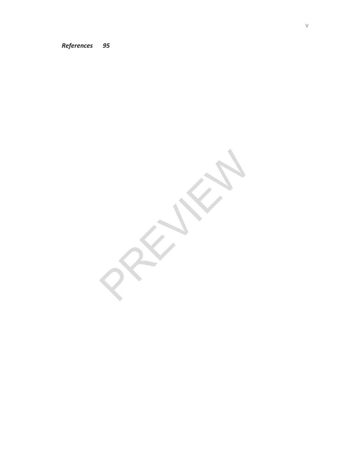#### References 95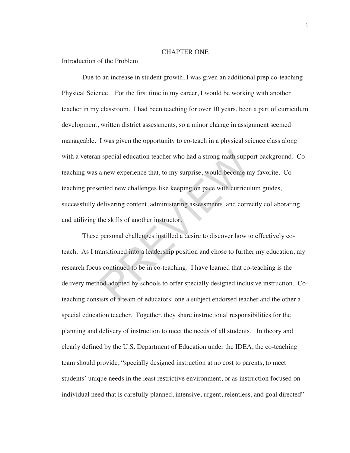#### CHAPTER ONE

#### Introduction of the Problem

Due to an increase in student growth, I was given an additional prep co-teaching Physical Science. For the first time in my career, I would be working with another teacher in my classroom. I had been teaching for over 10 years, been a part of curriculum development, written district assessments, so a minor change in assignment seemed manageable. I was given the opportunity to co-teach in a physical science class along with a veteran special education teacher who had a strong math support background. Coteaching was a new experience that, to my surprise, would become my favorite. Coteaching presented new challenges like keeping on pace with curriculum guides, successfully delivering content, administering assessments, and correctly collaborating and utilizing the skills of another instructor. is a new experience that, to my surprise, would become mented new challenges like keeping on pace with curricul<br>delivering content, administering assessments, and corre<br>the skills of another instructor.<br>personal challenges

These personal challenges instilled a desire to discover how to effectively coteach. As I transitioned into a leadership position and chose to further my education, my research focus continued to be in co-teaching. I have learned that co-teaching is the delivery method adopted by schools to offer specially designed inclusive instruction. Coteaching consists of a team of educators: one a subject endorsed teacher and the other a special education teacher. Together, they share instructional responsibilities for the planning and delivery of instruction to meet the needs of all students. In theory and clearly defined by the U.S. Department of Education under the IDEA, the co-teaching team should provide, "specially designed instruction at no cost to parents, to meet students' unique needs in the least restrictive environment, or as instruction focused on individual need that is carefully planned, intensive, urgent, relentless, and goal directed"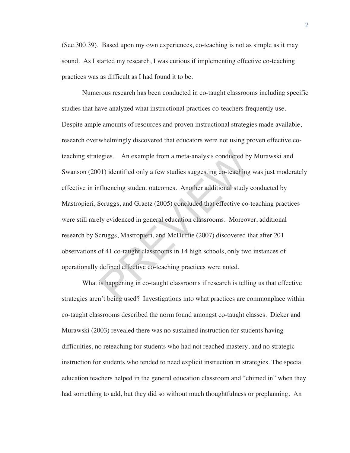(Sec.300.39). Based upon my own experiences, co-teaching is not as simple as it may sound. As I started my research, I was curious if implementing effective co-teaching practices was as difficult as I had found it to be.

Numerous research has been conducted in co-taught classrooms including specific studies that have analyzed what instructional practices co-teachers frequently use. Despite ample amounts of resources and proven instructional strategies made available, research overwhelmingly discovered that educators were not using proven effective coteaching strategies. An example from a meta-analysis conducted by Murawski and Swanson (2001) identified only a few studies suggesting co-teaching was just moderately effective in influencing student outcomes. Another additional study conducted by Mastropieri, Scruggs, and Graetz (2005) concluded that effective co-teaching practices were still rarely evidenced in general education classrooms. Moreover, additional research by Scruggs, Mastropieri, and McDuffie (2007) discovered that after 201 observations of 41 co-taught classrooms in 14 high schools, only two instances of operationally defined effective co-teaching practices were noted. egies. An example from a meta-analysis conducted by<br>
11) identified only a few studies suggesting co-teaching<br>
filuencing student outcomes. Another additional study<br>
8cruggs, and Graetz (2005) concluded that effective co-<br>

What is happening in co-taught classrooms if research is telling us that effective strategies aren't being used? Investigations into what practices are commonplace within co-taught classrooms described the norm found amongst co-taught classes. Dieker and Murawski (2003) revealed there was no sustained instruction for students having difficulties, no reteaching for students who had not reached mastery, and no strategic instruction for students who tended to need explicit instruction in strategies. The special education teachers helped in the general education classroom and "chimed in" when they had something to add, but they did so without much thoughtfulness or preplanning. An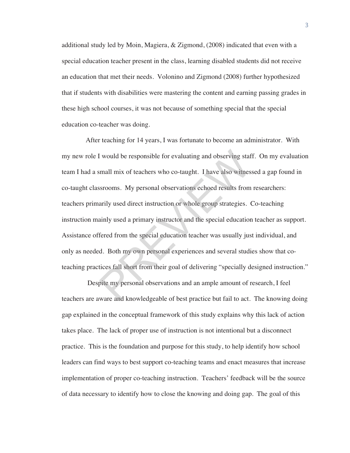additional study led by Moin, Magiera, & Zigmond, (2008) indicated that even with a special education teacher present in the class, learning disabled students did not receive an education that met their needs. Volonino and Zigmond (2008) further hypothesized that if students with disabilities were mastering the content and earning passing grades in these high school courses, it was not because of something special that the special education co-teacher was doing.

 After teaching for 14 years, I was fortunate to become an administrator. With my new role I would be responsible for evaluating and observing staff. On my evaluation team I had a small mix of teachers who co-taught. I have also witnessed a gap found in co-taught classrooms. My personal observations echoed results from researchers: teachers primarily used direct instruction or whole group strategies. Co-teaching instruction mainly used a primary instructor and the special education teacher as support. Assistance offered from the special education teacher was usually just individual, and only as needed. Both my own personal experiences and several studies show that coteaching practices fall short from their goal of delivering "specially designed instruction." I would be responsible for evaluating and observing staft<br>small mix of teachers who co-taught. I have also witnes<br>ssrooms. My personal observations echoed results from<br>arily used direct instruction or whole group strategie

 Despite my personal observations and an ample amount of research, I feel teachers are aware and knowledgeable of best practice but fail to act. The knowing doing gap explained in the conceptual framework of this study explains why this lack of action takes place. The lack of proper use of instruction is not intentional but a disconnect practice. This is the foundation and purpose for this study, to help identify how school leaders can find ways to best support co-teaching teams and enact measures that increase implementation of proper co-teaching instruction. Teachers' feedback will be the source of data necessary to identify how to close the knowing and doing gap. The goal of this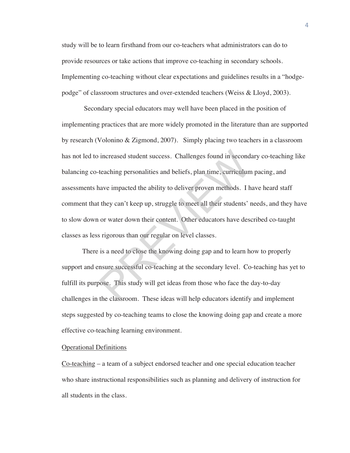study will be to learn firsthand from our co-teachers what administrators can do to provide resources or take actions that improve co-teaching in secondary schools. Implementing co-teaching without clear expectations and guidelines results in a "hodgepodge" of classroom structures and over-extended teachers (Weiss & Lloyd, 2003).

 Secondary special educators may well have been placed in the position of implementing practices that are more widely promoted in the literature than are supported by research (Volonino & Zigmond, 2007). Simply placing two teachers in a classroom has not led to increased student success. Challenges found in secondary co-teaching like balancing co-teaching personalities and beliefs, plan time, curriculum pacing, and assessments have impacted the ability to deliver proven methods. I have heard staff comment that they can't keep up, struggle to meet all their students' needs, and they have to slow down or water down their content. Other educators have described co-taught classes as less rigorous than our regular on level classes. increased student success. Challenges found in second<br>teaching personalities and beliefs, plan time, curriculum<br>nave impacted the ability to deliver proven methods. I h<br>they can't keep up, struggle to meet all their studen

There is a need to close the knowing doing gap and to learn how to properly support and ensure successful co-teaching at the secondary level. Co-teaching has yet to fulfill its purpose. This study will get ideas from those who face the day-to-day challenges in the classroom. These ideas will help educators identify and implement steps suggested by co-teaching teams to close the knowing doing gap and create a more effective co-teaching learning environment.

#### Operational Definitions

Co-teaching – a team of a subject endorsed teacher and one special education teacher who share instructional responsibilities such as planning and delivery of instruction for all students in the class.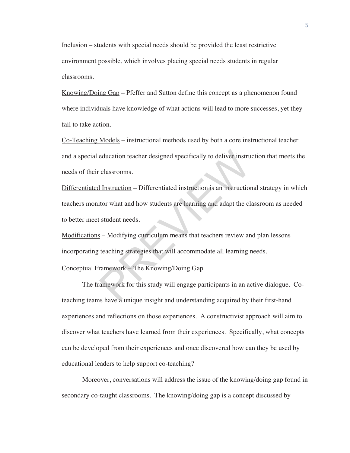Inclusion – students with special needs should be provided the least restrictive environment possible, which involves placing special needs students in regular classrooms.

Knowing/Doing Gap – Pfeffer and Sutton define this concept as a phenomenon found where individuals have knowledge of what actions will lead to more successes, yet they fail to take action.

Co-Teaching Models – instructional methods used by both a core instructional teacher and a special education teacher designed specifically to deliver instruction that meets the needs of their classrooms.

Differentiated Instruction – Differentiated instruction is an instructional strategy in which teachers monitor what and how students are learning and adapt the classroom as needed to better meet student needs. education teacher designed specifically to deliver instruction<br>
education = Differentiated instruction is an instruction<br>
itor what and how students are learning and adapt the cl<br>
student needs.<br>  $\frac{1}{2}$  – Modifying cur

Modifications – Modifying curriculum means that teachers review and plan lessons incorporating teaching strategies that will accommodate all learning needs.

#### Conceptual Framework – The Knowing/Doing Gap

The framework for this study will engage participants in an active dialogue. Coteaching teams have a unique insight and understanding acquired by their first-hand experiences and reflections on those experiences. A constructivist approach will aim to discover what teachers have learned from their experiences. Specifically, what concepts can be developed from their experiences and once discovered how can they be used by educational leaders to help support co-teaching?

Moreover, conversations will address the issue of the knowing/doing gap found in secondary co-taught classrooms. The knowing/doing gap is a concept discussed by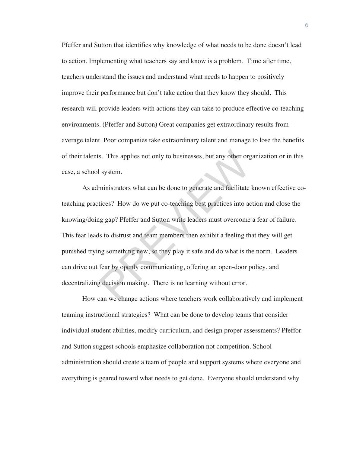Pfeffer and Sutton that identifies why knowledge of what needs to be done doesn't lead to action. Implementing what teachers say and know is a problem. Time after time, teachers understand the issues and understand what needs to happen to positively improve their performance but don't take action that they know they should. This research will provide leaders with actions they can take to produce effective co-teaching environments. (Pfeffer and Sutton) Great companies get extraordinary results from average talent. Poor companies take extraordinary talent and manage to lose the benefits of their talents. This applies not only to businesses, but any other organization or in this case, a school system.

As administrators what can be done to generate and facilitate known effective coteaching practices? How do we put co-teaching best practices into action and close the knowing/doing gap? Pfeffer and Sutton write leaders must overcome a fear of failure. This fear leads to distrust and team members then exhibit a feeling that they will get punished trying something new, so they play it safe and do what is the norm. Leaders can drive out fear by openly communicating, offering an open-door policy, and decentralizing decision making. There is no learning without error. s. This applies not only to businesses, but any other org<br>I system.<br>ministrators what can be done to generate and facilitate<br>tices? How do we put co-teaching best practices into ac<br>Ig gap? Pfeffer and Sutton write leaders

How can we change actions where teachers work collaboratively and implement teaming instructional strategies? What can be done to develop teams that consider individual student abilities, modify curriculum, and design proper assessments? Pfeffor and Sutton suggest schools emphasize collaboration not competition. School administration should create a team of people and support systems where everyone and everything is geared toward what needs to get done. Everyone should understand why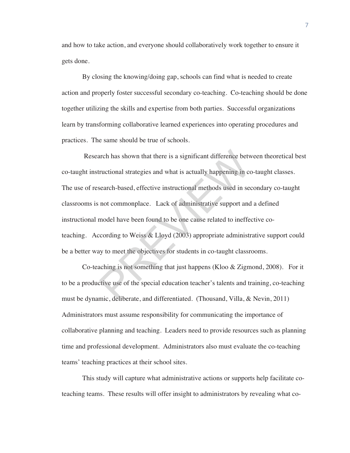and how to take action, and everyone should collaboratively work together to ensure it gets done.

By closing the knowing/doing gap, schools can find what is needed to create action and properly foster successful secondary co-teaching. Co-teaching should be done together utilizing the skills and expertise from both parties. Successful organizations learn by transforming collaborative learned experiences into operating procedures and practices. The same should be true of schools.

 Research has shown that there is a significant difference between theoretical best co-taught instructional strategies and what is actually happening in co-taught classes. The use of research-based, effective instructional methods used in secondary co-taught classrooms is not commonplace. Lack of administrative support and a defined instructional model have been found to be one cause related to ineffective coteaching. According to Weiss & Lloyd (2003) appropriate administrative support could be a better way to meet the objectives for students in co-taught classrooms. arch has shown that there is a significant difference betwert<br>tructional strategies and what is actually happening in consearch-based, effective instructional methods used in sec<br>not commonplace. Lack of administrative sup

Co-teaching is not something that just happens (Kloo & Zigmond, 2008). For it to be a productive use of the special education teacher's talents and training, co-teaching must be dynamic, deliberate, and differentiated. (Thousand, Villa, & Nevin, 2011) Administrators must assume responsibility for communicating the importance of collaborative planning and teaching. Leaders need to provide resources such as planning time and professional development. Administrators also must evaluate the co-teaching teams' teaching practices at their school sites.

This study will capture what administrative actions or supports help facilitate coteaching teams. These results will offer insight to administrators by revealing what co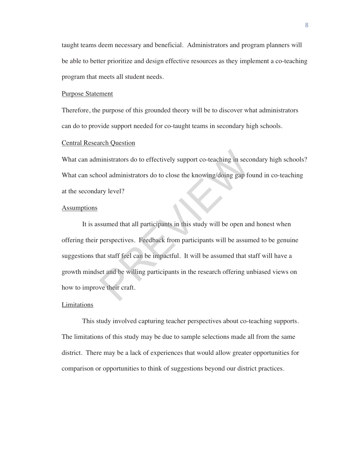taught teams deem necessary and beneficial. Administrators and program planners will be able to better prioritize and design effective resources as they implement a co-teaching program that meets all student needs.

#### Purpose Statement

Therefore, the purpose of this grounded theory will be to discover what administrators can do to provide support needed for co-taught teams in secondary high schools.

#### Central Research Question

What can administrators do to effectively support co-teaching in secondary high schools? What can school administrators do to close the knowing/doing gap found in co-teaching at the secondary level?

#### **Assumptions**

It is assumed that all participants in this study will be open and honest when offering their perspectives. Feedback from participants will be assumed to be genuine suggestions that staff feel can be impactful. It will be assumed that staff will have a growth mindset and be willing participants in the research offering unbiased views on how to improve their craft. ministrators do to effectively support co-teaching in secc<br>cool administrators do to close the knowing/doing gap for<br>ary level?<br>Summed that all participants in this study will be open an<br>perspectives. Feedback from partici

#### **Limitations**

This study involved capturing teacher perspectives about co-teaching supports. The limitations of this study may be due to sample selections made all from the same district. There may be a lack of experiences that would allow greater opportunities for comparison or opportunities to think of suggestions beyond our district practices.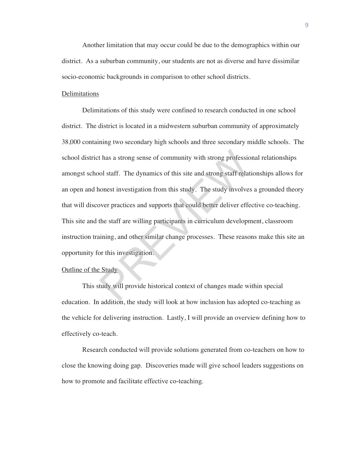Another limitation that may occur could be due to the demographics within our district. As a suburban community, our students are not as diverse and have dissimilar socio-economic backgrounds in comparison to other school districts.

#### Delimitations

Delimitations of this study were confined to research conducted in one school district. The district is located in a midwestern suburban community of approximately 38,000 containing two secondary high schools and three secondary middle schools. The school district has a strong sense of community with strong professional relationships amongst school staff. The dynamics of this site and strong staff relationships allows for an open and honest investigation from this study. The study involves a grounded theory that will discover practices and supports that could better deliver effective co-teaching. This site and the staff are willing participants in curriculum development, classroom instruction training, and other similar change processes. These reasons make this site an opportunity for this investigation. the assumption of community with strong profession that the dynamics of this site and strong staff relationed staff. The dynamics of this site and strong staff relationed in the staff are willing participants in curriculum

#### Outline of the Study

This study will provide historical context of changes made within special education. In addition, the study will look at how inclusion has adopted co-teaching as the vehicle for delivering instruction. Lastly, I will provide an overview defining how to effectively co-teach.

Research conducted will provide solutions generated from co-teachers on how to close the knowing doing gap. Discoveries made will give school leaders suggestions on how to promote and facilitate effective co-teaching.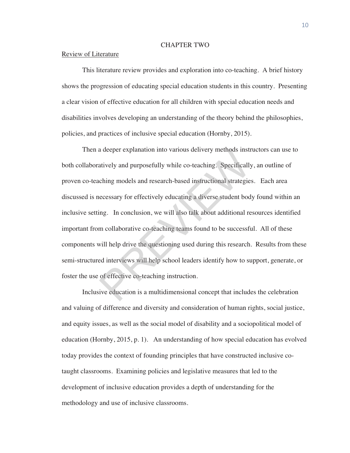#### CHAPTER TWO

#### Review of Literature

This literature review provides and exploration into co-teaching. A brief history shows the progression of educating special education students in this country. Presenting a clear vision of effective education for all children with special education needs and disabilities involves developing an understanding of the theory behind the philosophies, policies, and practices of inclusive special education (Hornby, 2015).

Then a deeper explanation into various delivery methods instructors can use to both collaboratively and purposefully while co-teaching. Specifically, an outline of proven co-teaching models and research-based instructional strategies. Each area discussed is necessary for effectively educating a diverse student body found within an inclusive setting. In conclusion, we will also talk about additional resources identified important from collaborative co-teaching teams found to be successful. All of these components will help drive the questioning used during this research. Results from these semi-structured interviews will help school leaders identify how to support, generate, or foster the use of effective co-teaching instruction. a deeper explanation into various delivery methods instratively and purposefully while co-teaching. Specifically<br>ching models and research-based instructional strategie<br>eccessary for effectively educating a diverse student

Inclusive education is a multidimensional concept that includes the celebration and valuing of difference and diversity and consideration of human rights, social justice, and equity issues, as well as the social model of disability and a sociopolitical model of education (Hornby, 2015, p. 1). An understanding of how special education has evolved today provides the context of founding principles that have constructed inclusive cotaught classrooms. Examining policies and legislative measures that led to the development of inclusive education provides a depth of understanding for the methodology and use of inclusive classrooms.

10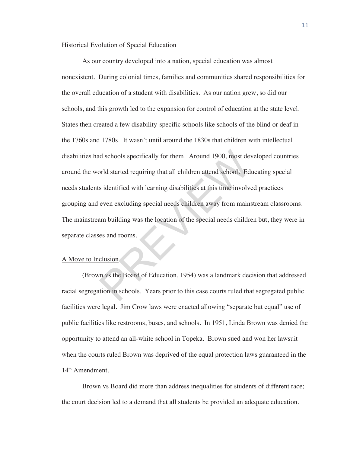#### Historical Evolution of Special Education

As our country developed into a nation, special education was almost nonexistent. During colonial times, families and communities shared responsibilities for the overall education of a student with disabilities. As our nation grew, so did our schools, and this growth led to the expansion for control of education at the state level. States then created a few disability-specific schools like schools of the blind or deaf in the 1760s and 1780s. It wasn't until around the 1830s that children with intellectual disabilities had schools specifically for them. Around 1900, most developed countries around the world started requiring that all children attend school. Educating special needs students identified with learning disabilities at this time involved practices grouping and even excluding special needs children away from mainstream classrooms. The mainstream building was the location of the special needs children but, they were in separate classes and rooms. d schools specifically for them. Around 1900, most devantant and schools specifically for them. Around 1900, most devantant and school. Ed is identified with learning disabilities at this time involve even excluding specia

#### A Move to Inclusion

(Brown vs the Board of Education, 1954) was a landmark decision that addressed racial segregation in schools. Years prior to this case courts ruled that segregated public facilities were legal. Jim Crow laws were enacted allowing "separate but equal" use of public facilities like restrooms, buses, and schools. In 1951, Linda Brown was denied the opportunity to attend an all-white school in Topeka. Brown sued and won her lawsuit when the courts ruled Brown was deprived of the equal protection laws guaranteed in the 14th Amendment.

Brown vs Board did more than address inequalities for students of different race; the court decision led to a demand that all students be provided an adequate education.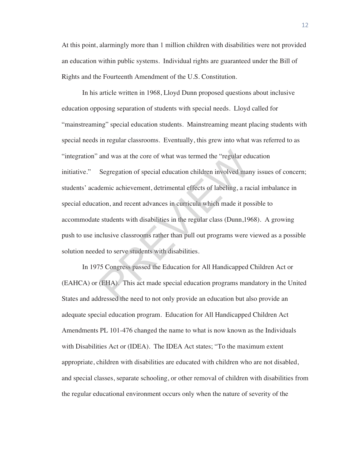At this point, alarmingly more than 1 million children with disabilities were not provided an education within public systems. Individual rights are guaranteed under the Bill of Rights and the Fourteenth Amendment of the U.S. Constitution.

In his article written in 1968, Lloyd Dunn proposed questions about inclusive education opposing separation of students with special needs. Lloyd called for "mainstreaming" special education students. Mainstreaming meant placing students with special needs in regular classrooms. Eventually, this grew into what was referred to as "integration" and was at the core of what was termed the "regular education initiative." Segregation of special education children involved many issues of concern; students' academic achievement, detrimental effects of labeling, a racial imbalance in special education, and recent advances in curricula which made it possible to accommodate students with disabilities in the regular class (Dunn,1968). A growing push to use inclusive classrooms rather than pull out programs were viewed as a possible solution needed to serve students with disabilities. and was at the core of what was termed the "regular education of special education children involved mandemic achievement, detrimental effects of labeling, a raction, and recent advances in curricula which made it poses tu

In 1975 Congress passed the Education for All Handicapped Children Act or (EAHCA) or (EHA). This act made special education programs mandatory in the United States and addressed the need to not only provide an education but also provide an adequate special education program. Education for All Handicapped Children Act Amendments PL 101-476 changed the name to what is now known as the Individuals with Disabilities Act or (IDEA). The IDEA Act states; "To the maximum extent appropriate, children with disabilities are educated with children who are not disabled, and special classes, separate schooling, or other removal of children with disabilities from the regular educational environment occurs only when the nature of severity of the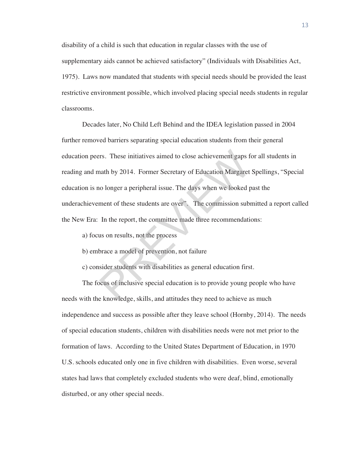disability of a child is such that education in regular classes with the use of supplementary aids cannot be achieved satisfactory" (Individuals with Disabilities Act, 1975). Laws now mandated that students with special needs should be provided the least restrictive environment possible, which involved placing special needs students in regular classrooms.

Decades later, No Child Left Behind and the IDEA legislation passed in 2004 further removed barriers separating special education students from their general education peers. These initiatives aimed to close achievement gaps for all students in reading and math by 2014. Former Secretary of Education Margaret Spellings, "Special education is no longer a peripheral issue. The days when we looked past the underachievement of these students are over". The commission submitted a report called the New Era: In the report, the committee made three recommendations: First These initiatives aimed to close achievement gaps for<br>an and by 2014. Former Secretary of Education Margaret<br>no longer a peripheral issue. The days when we looked p<br>ment of these students are over". The commission su

- a) focus on results, not the process
- b) embrace a model of prevention, not failure

c) consider students with disabilities as general education first.

The focus of inclusive special education is to provide young people who have needs with the knowledge, skills, and attitudes they need to achieve as much independence and success as possible after they leave school (Hornby, 2014). The needs of special education students, children with disabilities needs were not met prior to the formation of laws. According to the United States Department of Education, in 1970 U.S. schools educated only one in five children with disabilities. Even worse, several states had laws that completely excluded students who were deaf, blind, emotionally disturbed, or any other special needs.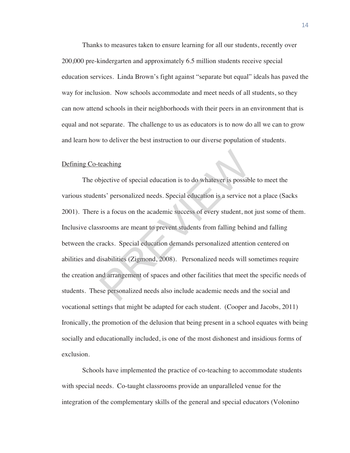Thanks to measures taken to ensure learning for all our students, recently over 200,000 pre-kindergarten and approximately 6.5 million students receive special education services. Linda Brown's fight against "separate but equal" ideals has paved the way for inclusion. Now schools accommodate and meet needs of all students, so they can now attend schools in their neighborhoods with their peers in an environment that is equal and not separate. The challenge to us as educators is to now do all we can to grow and learn how to deliver the best instruction to our diverse population of students.

#### Defining Co-teaching

The objective of special education is to do whatever is possible to meet the various students' personalized needs. Special education is a service not a place (Sacks 2001). There is a focus on the academic success of every student, not just some of them. Inclusive classrooms are meant to prevent students from falling behind and falling between the cracks. Special education demands personalized attention centered on abilities and disabilities (Zigmond, 2008). Personalized needs will sometimes require the creation and arrangement of spaces and other facilities that meet the specific needs of students. These personalized needs also include academic needs and the social and vocational settings that might be adapted for each student. (Cooper and Jacobs, 2011) Ironically, the promotion of the delusion that being present in a school equates with being socially and educationally included, is one of the most dishonest and insidious forms of exclusion. teaching<br>bjective of special education is to do whatever is possiblents' personalized needs. Special education is a service n<br>is a focus on the academic success of every student, no<br>srooms are meant to prevent students fro

Schools have implemented the practice of co-teaching to accommodate students with special needs. Co-taught classrooms provide an unparalleled venue for the integration of the complementary skills of the general and special educators (Volonino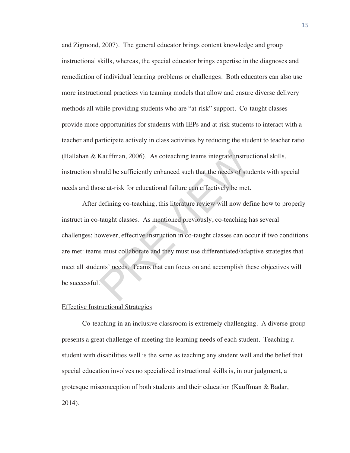and Zigmond, 2007). The general educator brings content knowledge and group instructional skills, whereas, the special educator brings expertise in the diagnoses and remediation of individual learning problems or challenges. Both educators can also use more instructional practices via teaming models that allow and ensure diverse delivery methods all while providing students who are "at-risk" support. Co-taught classes provide more opportunities for students with IEPs and at-risk students to interact with a teacher and participate actively in class activities by reducing the student to teacher ratio (Hallahan & Kauffman, 2006). As coteaching teams integrate instructional skills, instruction should be sufficiently enhanced such that the needs of students with special needs and those at-risk for educational failure can effectively be met.

After defining co-teaching, this literature review will now define how to properly instruct in co-taught classes. As mentioned previously, co-teaching has several challenges; however, effective instruction in co-taught classes can occur if two conditions are met: teams must collaborate and they must use differentiated/adaptive strategies that meet all students' needs. Teams that can focus on and accomplish these objectives will be successful. Kauffman, 2006). As coteaching teams integrate instructional be sufficiently enhanced such that the needs of studes at the set of studes at the set of studes at the set of studes at the set of studes at the set of studes a

#### Effective Instructional Strategies

Co-teaching in an inclusive classroom is extremely challenging. A diverse group presents a great challenge of meeting the learning needs of each student. Teaching a student with disabilities well is the same as teaching any student well and the belief that special education involves no specialized instructional skills is, in our judgment, a grotesque misconception of both students and their education (Kauffman & Badar, 2014).